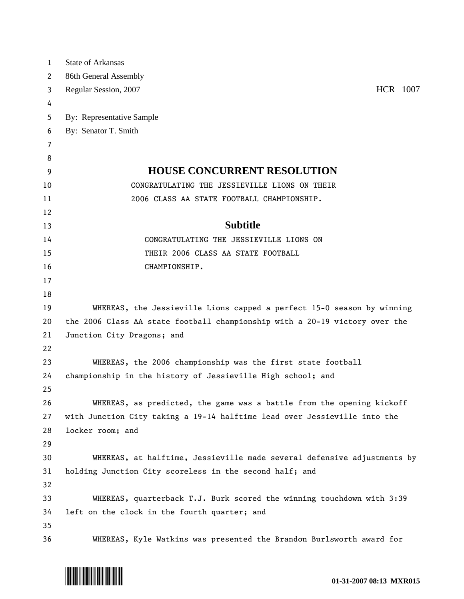| 1        | <b>State of Arkansas</b>                                                    |
|----------|-----------------------------------------------------------------------------|
| 2        | 86th General Assembly                                                       |
| 3        | HCR 1007<br>Regular Session, 2007                                           |
| 4        |                                                                             |
| 5        | By: Representative Sample                                                   |
| 6        | By: Senator T. Smith                                                        |
| 7        |                                                                             |
| 8        |                                                                             |
| 9        | <b>HOUSE CONCURRENT RESOLUTION</b>                                          |
| 10       | CONGRATULATING THE JESSIEVILLE LIONS ON THEIR                               |
| 11       | 2006 CLASS AA STATE FOOTBALL CHAMPIONSHIP.                                  |
| 12       |                                                                             |
| 13       | <b>Subtitle</b>                                                             |
| 14       | CONGRATULATING THE JESSIEVILLE LIONS ON                                     |
| 15       | THEIR 2006 CLASS AA STATE FOOTBALL                                          |
| 16       | CHAMPIONSHIP.                                                               |
| 17       |                                                                             |
| 18       |                                                                             |
| 19       | WHEREAS, the Jessieville Lions capped a perfect 15-0 season by winning      |
| 20       | the 2006 Class AA state football championship with a 20-19 victory over the |
| 21       | Junction City Dragons; and                                                  |
| 22       |                                                                             |
| 23       | WHEREAS, the 2006 championship was the first state football                 |
| 24       | championship in the history of Jessieville High school; and                 |
| 25       |                                                                             |
| 26       | WHEREAS, as predicted, the game was a battle from the opening kickoff       |
| 27       | with Junction City taking a 19-14 halftime lead over Jessieville into the   |
| 28       | locker room; and                                                            |
| 29       |                                                                             |
| 30       | WHEREAS, at halftime, Jessieville made several defensive adjustments by     |
| 31<br>32 | holding Junction City scoreless in the second half; and                     |
| 33       | WHEREAS, quarterback T.J. Burk scored the winning touchdown with 3:39       |
| 34       | left on the clock in the fourth quarter; and                                |
| 35       |                                                                             |
| 36       | WHEREAS, Kyle Watkins was presented the Brandon Burlsworth award for        |